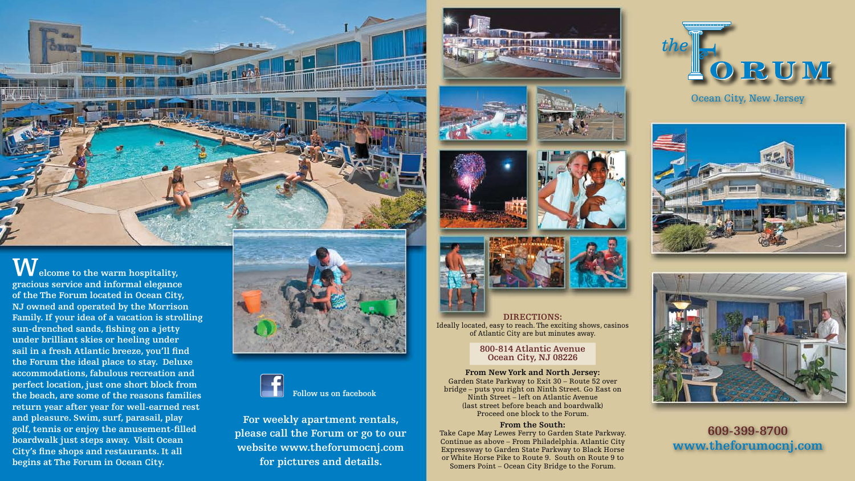

 $\overline{\textbf{W}}$  elcome to the warm hospitality, **gracious service and informal elegance of the The Forum located in Ocean City, NJ owned and operated by the Morrison Family. If your idea of a vacation is strolling sun-drenched sands, fishing on a jetty under brilliant skies or heeling under sail in a fresh Atlantic breeze, you'll find the Forum the ideal place to stay. Deluxe accommodations, fabulous recreation and perfect location, just one short block from the beach, are some of the reasons families return year after year for well-earned rest and pleasure. Swim, surf, parasail, play golf, tennis or enjoy the amusement-filled boardwalk just steps away. Visit Ocean City's fine shops and restaurants. It all begins at The Forum in Ocean City.**



**DIRECTIONS:** Ideally located, easy to reach. The exciting shows, casinos of Atlantic City are but minutes away.

### **800-814 Atlantic Avenue Ocean City, NJ 08226**

**From New York and North Jersey:** Garden State Parkway to Exit 30 – Route 52 over bridge – puts you right on Ninth Street. Go East on Ninth Street – left on Atlantic Avenue (last street before beach and boardwalk) Proceed one block to the Forum.

#### **From the South:**

Take Cape May Lewes Ferry to Garden State Parkway. Continue as above – From Philadelphia. Atlantic City Expressway to Garden State Parkway to Black Horse or White Horse Pike to Route 9. South on Route 9 to Somers Point – Ocean City Bridge to the Forum.

# **609-399-8700 www.theforumocnj.com**





# ORUM

## Ocean City, New Jersey



**For weekly apartment rentals, please call the Forum or go to our website www.theforumocnj.com for pictures and details.**